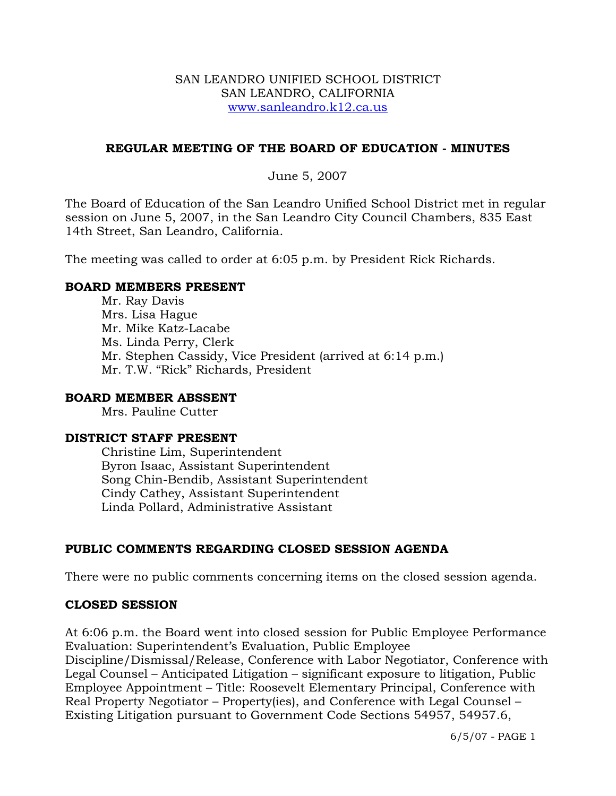#### SAN LEANDRO UNIFIED SCHOOL DISTRICT SAN LEANDRO, CALIFORNIA www.sanleandro.k12.ca.us

## **REGULAR MEETING OF THE BOARD OF EDUCATION - MINUTES**

June 5, 2007

The Board of Education of the San Leandro Unified School District met in regular session on June 5, 2007, in the San Leandro City Council Chambers, 835 East 14th Street, San Leandro, California.

The meeting was called to order at 6:05 p.m. by President Rick Richards.

## **BOARD MEMBERS PRESENT**

Mr. Ray Davis Mrs. Lisa Hague Mr. Mike Katz-Lacabe Ms. Linda Perry, Clerk Mr. Stephen Cassidy, Vice President (arrived at 6:14 p.m.) Mr. T.W. "Rick" Richards, President

### **BOARD MEMBER ABSSENT**

Mrs. Pauline Cutter

## **DISTRICT STAFF PRESENT**

Christine Lim, Superintendent Byron Isaac, Assistant Superintendent Song Chin-Bendib, Assistant Superintendent Cindy Cathey, Assistant Superintendent Linda Pollard, Administrative Assistant

## **PUBLIC COMMENTS REGARDING CLOSED SESSION AGENDA**

There were no public comments concerning items on the closed session agenda.

## **CLOSED SESSION**

At 6:06 p.m. the Board went into closed session for Public Employee Performance Evaluation: Superintendent's Evaluation, Public Employee

Discipline/Dismissal/Release, Conference with Labor Negotiator, Conference with Legal Counsel – Anticipated Litigation – significant exposure to litigation, Public Employee Appointment – Title: Roosevelt Elementary Principal, Conference with Real Property Negotiator – Property(ies), and Conference with Legal Counsel – Existing Litigation pursuant to Government Code Sections 54957, 54957.6,

6/5/07 - PAGE 1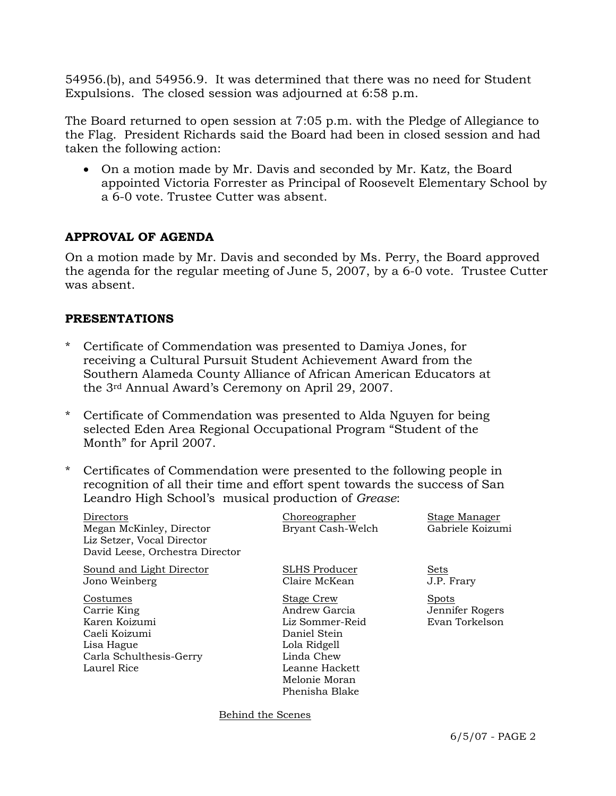54956.(b), and 54956.9. It was determined that there was no need for Student Expulsions. The closed session was adjourned at 6:58 p.m.

The Board returned to open session at 7:05 p.m. with the Pledge of Allegiance to the Flag. President Richards said the Board had been in closed session and had taken the following action:

• On a motion made by Mr. Davis and seconded by Mr. Katz, the Board appointed Victoria Forrester as Principal of Roosevelt Elementary School by a 6-0 vote. Trustee Cutter was absent.

## **APPROVAL OF AGENDA**

On a motion made by Mr. Davis and seconded by Ms. Perry, the Board approved the agenda for the regular meeting of June 5, 2007, by a 6-0 vote. Trustee Cutter was absent.

#### **PRESENTATIONS**

- \* Certificate of Commendation was presented to Damiya Jones, for receiving a Cultural Pursuit Student Achievement Award from the Southern Alameda County Alliance of African American Educators at the 3rd Annual Award's Ceremony on April 29, 2007.
- \* Certificate of Commendation was presented to Alda Nguyen for being selected Eden Area Regional Occupational Program "Student of the Month" for April 2007.
- \* Certificates of Commendation were presented to the following people in recognition of all their time and effort spent towards the success of San Leandro High School's musical production of *Grease*:

| Directors<br>Megan McKinley, Director<br>Liz Setzer, Vocal Director<br>David Leese, Orchestra Director            | Choreographer<br>Bryant Cash-Welch                                                                                                                       | <b>Stage Manager</b><br>Gabriele Koizumi   |  |
|-------------------------------------------------------------------------------------------------------------------|----------------------------------------------------------------------------------------------------------------------------------------------------------|--------------------------------------------|--|
| Sound and Light Director<br>Jono Weinberg                                                                         | SLHS Producer<br>Claire McKean                                                                                                                           | <b>Sets</b><br>J.P. Frary                  |  |
| Costumes<br>Carrie King<br>Karen Koizumi<br>Caeli Koizumi<br>Lisa Hague<br>Carla Schulthesis-Gerry<br>Laurel Rice | <b>Stage Crew</b><br>Andrew Garcia<br>Liz Sommer-Reid<br>Daniel Stein<br>Lola Ridgell<br>Linda Chew<br>Leanne Hackett<br>Melonie Moran<br>Phenisha Blake | Spots<br>Jennifer Rogers<br>Evan Torkelson |  |
| Behind the Scenes                                                                                                 |                                                                                                                                                          |                                            |  |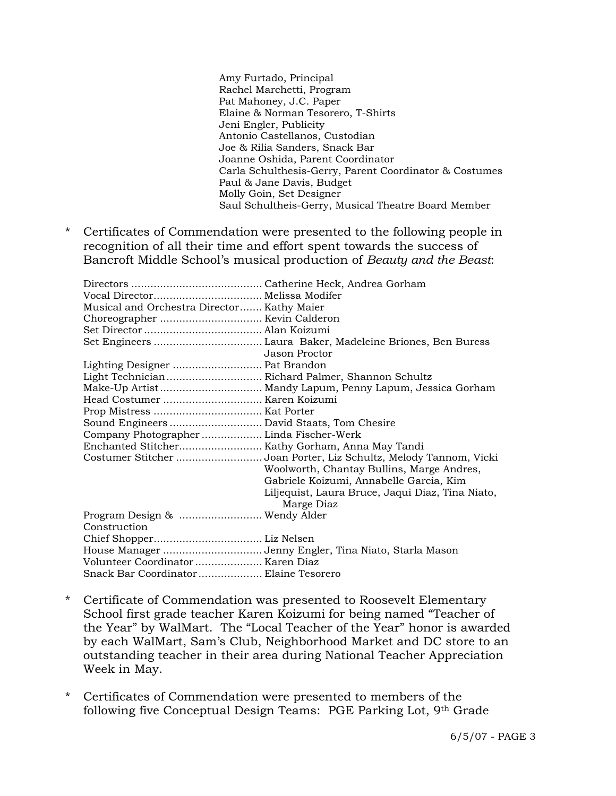Amy Furtado, Principal Rachel Marchetti, Program Pat Mahoney, J.C. Paper Elaine & Norman Tesorero, T-Shirts Jeni Engler, Publicity Antonio Castellanos, Custodian Joe & Rilia Sanders, Snack Bar Joanne Oshida, Parent Coordinator Carla Schulthesis-Gerry, Parent Coordinator & Costumes Paul & Jane Davis, Budget Molly Goin, Set Designer Saul Schultheis-Gerry, Musical Theatre Board Member

\* Certificates of Commendation were presented to the following people in recognition of all their time and effort spent towards the success of Bancroft Middle School's musical production of *Beauty and the Beast*:

| Musical and Orchestra Director Kathy Maier        |                                                                  |
|---------------------------------------------------|------------------------------------------------------------------|
|                                                   |                                                                  |
|                                                   |                                                                  |
|                                                   |                                                                  |
|                                                   | Jason Proctor                                                    |
| Lighting Designer  Pat Brandon                    |                                                                  |
| Light Technician  Richard Palmer, Shannon Schultz |                                                                  |
|                                                   | Make-Up Artist Mandy Lapum, Penny Lapum, Jessica Gorham          |
|                                                   |                                                                  |
|                                                   |                                                                  |
| Sound Engineers  David Staats, Tom Chesire        |                                                                  |
| Company Photographer  Linda Fischer-Werk          |                                                                  |
|                                                   |                                                                  |
|                                                   | Costumer Stitcher Joan Porter, Liz Schultz, Melody Tannom, Vicki |
|                                                   | Woolworth, Chantay Bullins, Marge Andres,                        |
|                                                   | Gabriele Koizumi, Annabelle Garcia, Kim                          |
|                                                   | Liljequist, Laura Bruce, Jaqui Diaz, Tina Niato,                 |
|                                                   | Marge Diaz                                                       |
| Program Design &  Wendy Alder                     |                                                                  |
| Construction                                      |                                                                  |
|                                                   |                                                                  |
|                                                   | House Manager Jenny Engler, Tina Niato, Starla Mason             |
|                                                   |                                                                  |
| Snack Bar Coordinator Elaine Tesorero             |                                                                  |

- \* Certificate of Commendation was presented to Roosevelt Elementary School first grade teacher Karen Koizumi for being named "Teacher of the Year" by WalMart. The "Local Teacher of the Year" honor is awarded by each WalMart, Sam's Club, Neighborhood Market and DC store to an outstanding teacher in their area during National Teacher Appreciation Week in May.
- \* Certificates of Commendation were presented to members of the following five Conceptual Design Teams: PGE Parking Lot, 9th Grade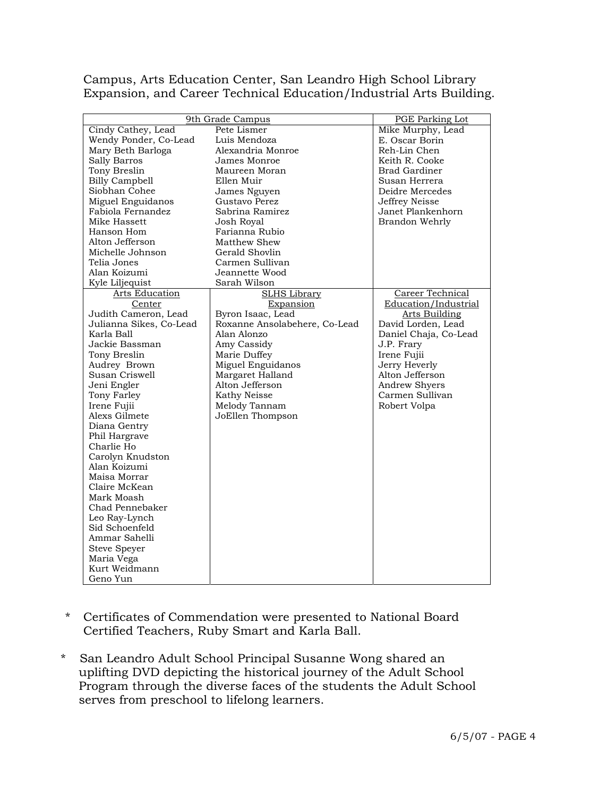Campus, Arts Education Center, San Leandro High School Library Expansion, and Career Technical Education/Industrial Arts Building.

| 9th Grade Campus        |                               | <b>PGE Parking Lot</b> |
|-------------------------|-------------------------------|------------------------|
| Cindy Cathey, Lead      | Pete Lismer                   | Mike Murphy, Lead      |
| Wendy Ponder, Co-Lead   | Luis Mendoza                  | E. Oscar Borin         |
| Mary Beth Barloga       | Alexandria Monroe             | Reh-Lin Chen           |
| Sally Barros            | James Monroe                  | Keith R. Cooke         |
| Tony Breslin            | Maureen Moran                 | <b>Brad Gardiner</b>   |
| <b>Billy Campbell</b>   | Ellen Muir                    | Susan Herrera          |
| Siobhan Cohee           | James Nguyen                  | Deidre Mercedes        |
| Miguel Enguidanos       | Gustavo Perez                 | Jeffrey Neisse         |
| Fabiola Fernandez       | Sabrina Ramirez               | Janet Plankenhorn      |
| Mike Hassett            | Josh Royal                    | Brandon Wehrly         |
| Hanson Hom              | Farianna Rubio                |                        |
| Alton Jefferson         |                               |                        |
|                         | Matthew Shew                  |                        |
| Michelle Johnson        | Gerald Shovlin                |                        |
| Telia Jones             | Carmen Sullivan               |                        |
| Alan Koizumi            | Jeannette Wood                |                        |
| Kyle Liljequist         | Sarah Wilson                  |                        |
| Arts Education          | <b>SLHS Library</b>           | Career Technical       |
| Center                  | Expansion                     | Education/Industrial   |
| Judith Cameron, Lead    | Byron Isaac, Lead             | Arts Building          |
| Julianna Sikes, Co-Lead | Roxanne Ansolabehere, Co-Lead | David Lorden, Lead     |
| Karla Ball              | Alan Alonzo                   | Daniel Chaja, Co-Lead  |
| Jackie Bassman          | Amy Cassidy                   | J.P. Frary             |
| Tony Breslin            | Marie Duffey                  | Irene Fujii            |
| Audrey Brown            | Miguel Enguidanos             | Jerry Heverly          |
| Susan Criswell          | Margaret Halland              | Alton Jefferson        |
| Jeni Engler             | Alton Jefferson               | <b>Andrew Shyers</b>   |
| Tony Farley             | Kathy Neisse                  | Carmen Sullivan        |
| Irene Fujii             | Melody Tannam                 | Robert Volpa           |
| Alexs Gilmete           | JoEllen Thompson              |                        |
| Diana Gentry            |                               |                        |
| Phil Hargrave           |                               |                        |
| Charlie Ho              |                               |                        |
| Carolyn Knudston        |                               |                        |
| Alan Koizumi            |                               |                        |
| Maisa Morrar            |                               |                        |
| Claire McKean           |                               |                        |
| Mark Moash              |                               |                        |
| Chad Pennebaker         |                               |                        |
| Leo Ray-Lynch           |                               |                        |
| Sid Schoenfeld          |                               |                        |
| Ammar Sahelli           |                               |                        |
| Steve Speyer            |                               |                        |
| Maria Vega              |                               |                        |
| Kurt Weidmann           |                               |                        |
| Geno Yun                |                               |                        |

- \* Certificates of Commendation were presented to National Board Certified Teachers, Ruby Smart and Karla Ball.
- \* San Leandro Adult School Principal Susanne Wong shared an uplifting DVD depicting the historical journey of the Adult School Program through the diverse faces of the students the Adult School serves from preschool to lifelong learners.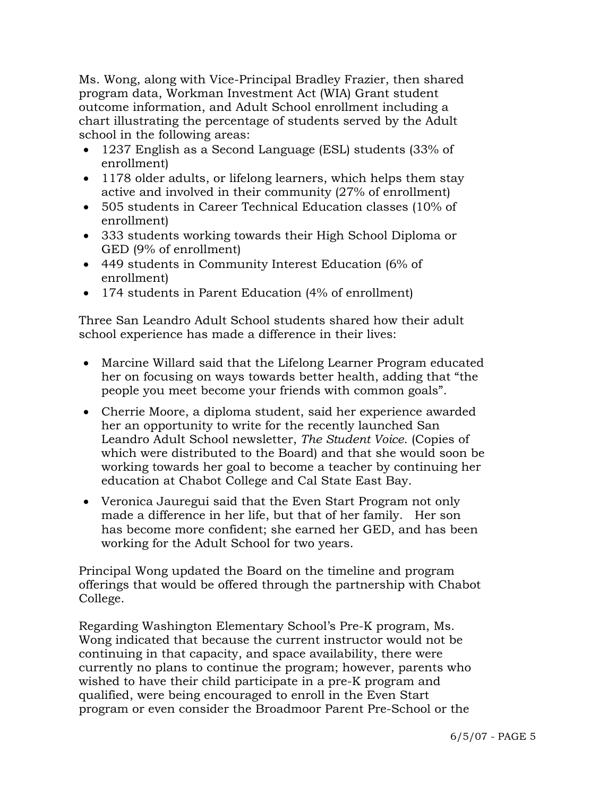Ms. Wong, along with Vice-Principal Bradley Frazier, then shared program data, Workman Investment Act (WIA) Grant student outcome information, and Adult School enrollment including a chart illustrating the percentage of students served by the Adult school in the following areas:

- 1237 English as a Second Language (ESL) students (33% of enrollment)
- 1178 older adults, or lifelong learners, which helps them stay active and involved in their community (27% of enrollment)
- 505 students in Career Technical Education classes (10% of enrollment)
- 333 students working towards their High School Diploma or GED (9% of enrollment)
- 449 students in Community Interest Education (6% of enrollment)
- 174 students in Parent Education (4% of enrollment)

 Three San Leandro Adult School students shared how their adult school experience has made a difference in their lives:

- Marcine Willard said that the Lifelong Learner Program educated her on focusing on ways towards better health, adding that "the people you meet become your friends with common goals".
- Cherrie Moore, a diploma student, said her experience awarded her an opportunity to write for the recently launched San Leandro Adult School newsletter, *The Student Voice*. (Copies of which were distributed to the Board) and that she would soon be working towards her goal to become a teacher by continuing her education at Chabot College and Cal State East Bay.
- Veronica Jauregui said that the Even Start Program not only made a difference in her life, but that of her family. Her son has become more confident; she earned her GED, and has been working for the Adult School for two years.

 Principal Wong updated the Board on the timeline and program offerings that would be offered through the partnership with Chabot College.

 Regarding Washington Elementary School's Pre-K program, Ms. Wong indicated that because the current instructor would not be continuing in that capacity, and space availability, there were currently no plans to continue the program; however, parents who wished to have their child participate in a pre-K program and qualified, were being encouraged to enroll in the Even Start program or even consider the Broadmoor Parent Pre-School or the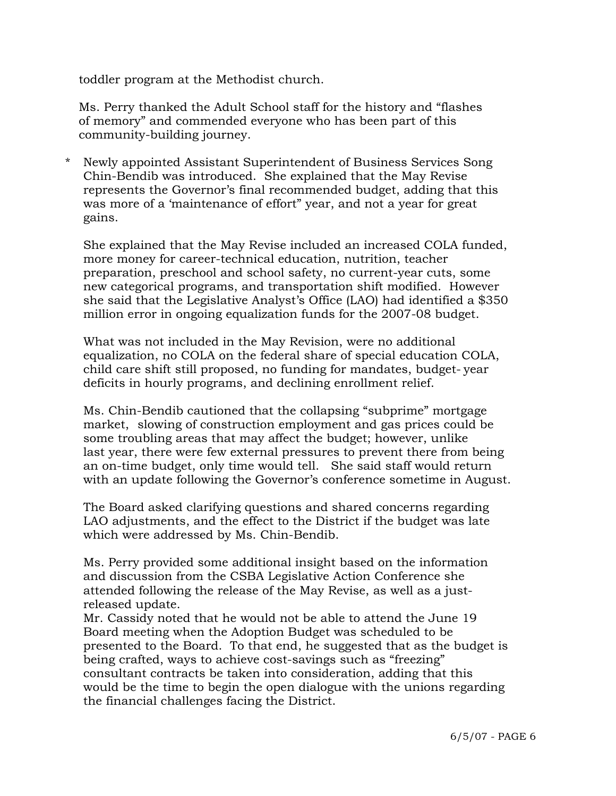toddler program at the Methodist church.

 Ms. Perry thanked the Adult School staff for the history and "flashes of memory" and commended everyone who has been part of this community-building journey.

\* Newly appointed Assistant Superintendent of Business Services Song Chin-Bendib was introduced. She explained that the May Revise represents the Governor's final recommended budget, adding that this was more of a 'maintenance of effort" year, and not a year for great gains.

 She explained that the May Revise included an increased COLA funded, more money for career-technical education, nutrition, teacher preparation, preschool and school safety, no current-year cuts, some new categorical programs, and transportation shift modified. However she said that the Legislative Analyst's Office (LAO) had identified a \$350 million error in ongoing equalization funds for the 2007-08 budget.

 What was not included in the May Revision, were no additional equalization, no COLA on the federal share of special education COLA, child care shift still proposed, no funding for mandates, budget- year deficits in hourly programs, and declining enrollment relief.

 Ms. Chin-Bendib cautioned that the collapsing "subprime" mortgage market, slowing of construction employment and gas prices could be some troubling areas that may affect the budget; however, unlike last year, there were few external pressures to prevent there from being an on-time budget, only time would tell. She said staff would return with an update following the Governor's conference sometime in August.

 The Board asked clarifying questions and shared concerns regarding LAO adjustments, and the effect to the District if the budget was late which were addressed by Ms. Chin-Bendib.

 Ms. Perry provided some additional insight based on the information and discussion from the CSBA Legislative Action Conference she attended following the release of the May Revise, as well as a just released update.

 Mr. Cassidy noted that he would not be able to attend the June 19 Board meeting when the Adoption Budget was scheduled to be presented to the Board. To that end, he suggested that as the budget is being crafted, ways to achieve cost-savings such as "freezing" consultant contracts be taken into consideration, adding that this would be the time to begin the open dialogue with the unions regarding the financial challenges facing the District.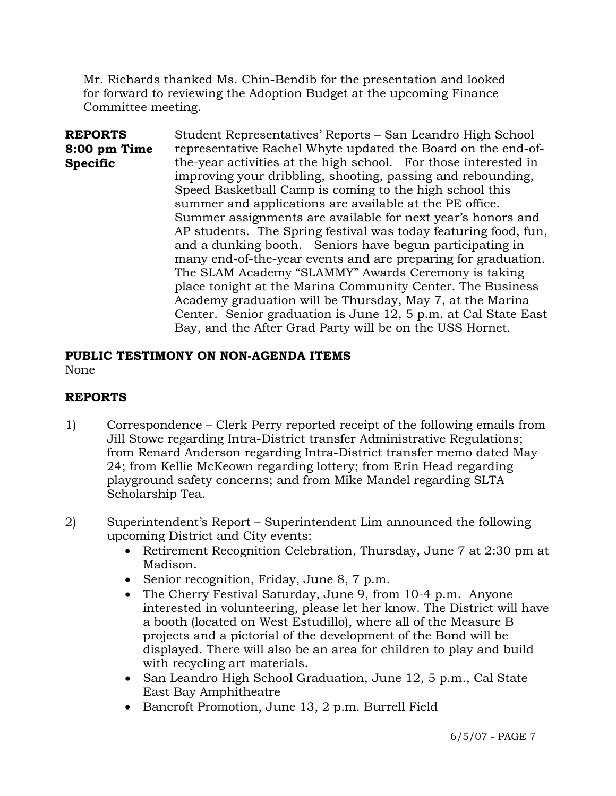Mr. Richards thanked Ms. Chin-Bendib for the presentation and looked for forward to reviewing the Adoption Budget at the upcoming Finance Committee meeting.

**REPORTS 8:00 pm Time Specific**  Student Representatives' Reports – San Leandro High School representative Rachel Whyte updated the Board on the end-ofthe-year activities at the high school. For those interested in improving your dribbling, shooting, passing and rebounding, Speed Basketball Camp is coming to the high school this summer and applications are available at the PE office. Summer assignments are available for next year's honors and AP students. The Spring festival was today featuring food, fun, and a dunking booth. Seniors have begun participating in many end-of-the-year events and are preparing for graduation. The SLAM Academy "SLAMMY" Awards Ceremony is taking place tonight at the Marina Community Center. The Business Academy graduation will be Thursday, May 7, at the Marina Center. Senior graduation is June 12, 5 p.m. at Cal State East Bay, and the After Grad Party will be on the USS Hornet.

# **PUBLIC TESTIMONY ON NON-AGENDA ITEMS**

None

## **REPORTS**

- 1) Correspondence Clerk Perry reported receipt of the following emails from Jill Stowe regarding Intra-District transfer Administrative Regulations; from Renard Anderson regarding Intra-District transfer memo dated May 24; from Kellie McKeown regarding lottery; from Erin Head regarding playground safety concerns; and from Mike Mandel regarding SLTA Scholarship Tea.
- 2) Superintendent's Report Superintendent Lim announced the following upcoming District and City events:
	- Retirement Recognition Celebration, Thursday, June 7 at 2:30 pm at Madison.
	- Senior recognition, Friday, June 8, 7 p.m.
	- The Cherry Festival Saturday, June 9, from 10-4 p.m. Anyone interested in volunteering, please let her know. The District will have a booth (located on West Estudillo), where all of the Measure B projects and a pictorial of the development of the Bond will be displayed. There will also be an area for children to play and build with recycling art materials.
	- San Leandro High School Graduation, June 12, 5 p.m., Cal State East Bay Amphitheatre
	- Bancroft Promotion, June 13, 2 p.m. Burrell Field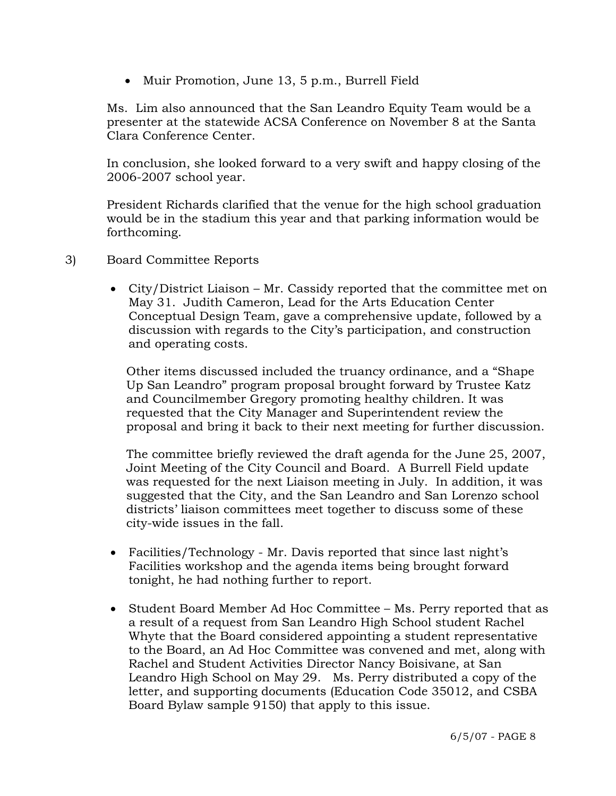• Muir Promotion, June 13, 5 p.m., Burrell Field

Ms. Lim also announced that the San Leandro Equity Team would be a presenter at the statewide ACSA Conference on November 8 at the Santa Clara Conference Center.

In conclusion, she looked forward to a very swift and happy closing of the 2006-2007 school year.

President Richards clarified that the venue for the high school graduation would be in the stadium this year and that parking information would be forthcoming.

- 3) Board Committee Reports
	- City/District Liaison Mr. Cassidy reported that the committee met on May 31. Judith Cameron, Lead for the Arts Education Center Conceptual Design Team, gave a comprehensive update, followed by a discussion with regards to the City's participation, and construction and operating costs.

 Other items discussed included the truancy ordinance, and a "Shape Up San Leandro" program proposal brought forward by Trustee Katz and Councilmember Gregory promoting healthy children. It was requested that the City Manager and Superintendent review the proposal and bring it back to their next meeting for further discussion.

 The committee briefly reviewed the draft agenda for the June 25, 2007, Joint Meeting of the City Council and Board. A Burrell Field update was requested for the next Liaison meeting in July. In addition, it was suggested that the City, and the San Leandro and San Lorenzo school districts' liaison committees meet together to discuss some of these city-wide issues in the fall.

- Facilities/Technology Mr. Davis reported that since last night's Facilities workshop and the agenda items being brought forward tonight, he had nothing further to report.
- Student Board Member Ad Hoc Committee Ms. Perry reported that as a result of a request from San Leandro High School student Rachel Whyte that the Board considered appointing a student representative to the Board, an Ad Hoc Committee was convened and met, along with Rachel and Student Activities Director Nancy Boisivane, at San Leandro High School on May 29. Ms. Perry distributed a copy of the letter, and supporting documents (Education Code 35012, and CSBA Board Bylaw sample 9150) that apply to this issue.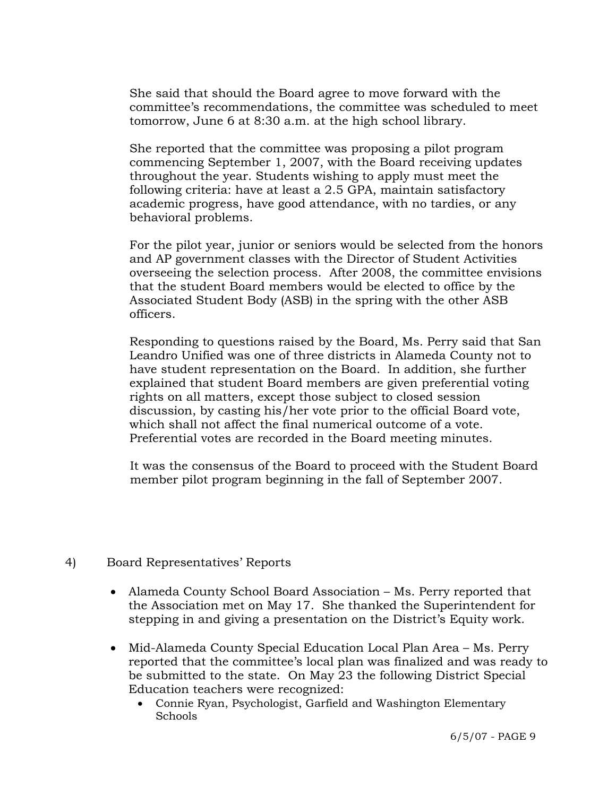She said that should the Board agree to move forward with the committee's recommendations, the committee was scheduled to meet tomorrow, June 6 at 8:30 a.m. at the high school library.

 She reported that the committee was proposing a pilot program commencing September 1, 2007, with the Board receiving updates throughout the year. Students wishing to apply must meet the following criteria: have at least a 2.5 GPA, maintain satisfactory academic progress, have good attendance, with no tardies, or any behavioral problems.

 For the pilot year, junior or seniors would be selected from the honors and AP government classes with the Director of Student Activities overseeing the selection process. After 2008, the committee envisions that the student Board members would be elected to office by the Associated Student Body (ASB) in the spring with the other ASB officers.

 Responding to questions raised by the Board, Ms. Perry said that San Leandro Unified was one of three districts in Alameda County not to have student representation on the Board. In addition, she further explained that student Board members are given preferential voting rights on all matters, except those subject to closed session discussion, by casting his/her vote prior to the official Board vote, which shall not affect the final numerical outcome of a vote. Preferential votes are recorded in the Board meeting minutes.

 It was the consensus of the Board to proceed with the Student Board member pilot program beginning in the fall of September 2007.

## 4) Board Representatives' Reports

- Alameda County School Board Association Ms. Perry reported that the Association met on May 17. She thanked the Superintendent for stepping in and giving a presentation on the District's Equity work.
- Mid-Alameda County Special Education Local Plan Area Ms. Perry reported that the committee's local plan was finalized and was ready to be submitted to the state. On May 23 the following District Special Education teachers were recognized:
	- Connie Ryan, Psychologist, Garfield and Washington Elementary Schools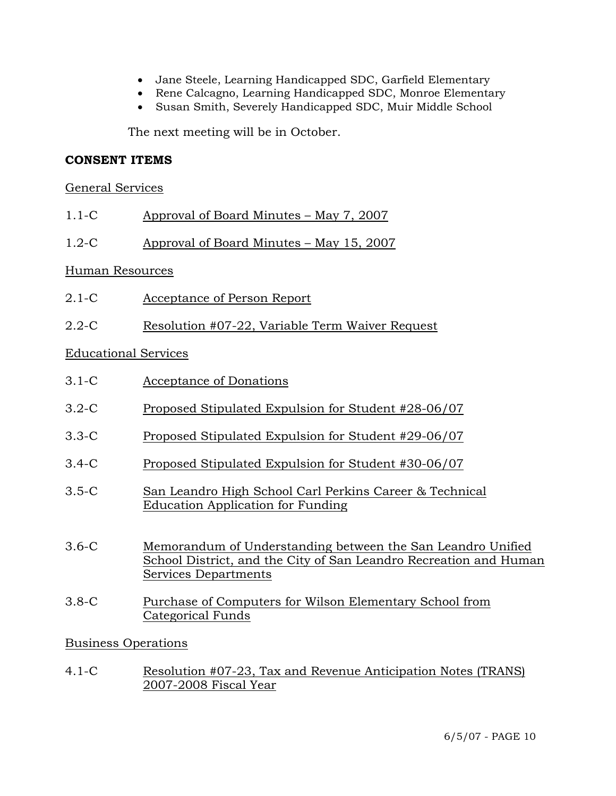- Jane Steele, Learning Handicapped SDC, Garfield Elementary
- Rene Calcagno, Learning Handicapped SDC, Monroe Elementary
- Susan Smith, Severely Handicapped SDC, Muir Middle School

The next meeting will be in October.

#### **CONSENT ITEMS**

#### General Services

- 1.1-C Approval of Board Minutes May 7, 2007
- 1.2-C Approval of Board Minutes May 15, 2007

#### Human Resources

- 2.1-C Acceptance of Person Report
- 2.2-C Resolution #07-22, Variable Term Waiver Request

## Educational Services

- 3.1-C Acceptance of Donations
- 3.2-C Proposed Stipulated Expulsion for Student #28-06/07
- 3.3-C Proposed Stipulated Expulsion for Student #29-06/07
- 3.4-C Proposed Stipulated Expulsion for Student #30-06/07
- 3.5-C San Leandro High School Carl Perkins Career & Technical Education Application for Funding
- 3.6-C Memorandum of Understanding between the San Leandro Unified School District, and the City of San Leandro Recreation and Human Services Departments
- 3.8-C Purchase of Computers for Wilson Elementary School from Categorical Funds

## Business Operations

4.1-C Resolution #07-23, Tax and Revenue Anticipation Notes (TRANS) 2007-2008 Fiscal Year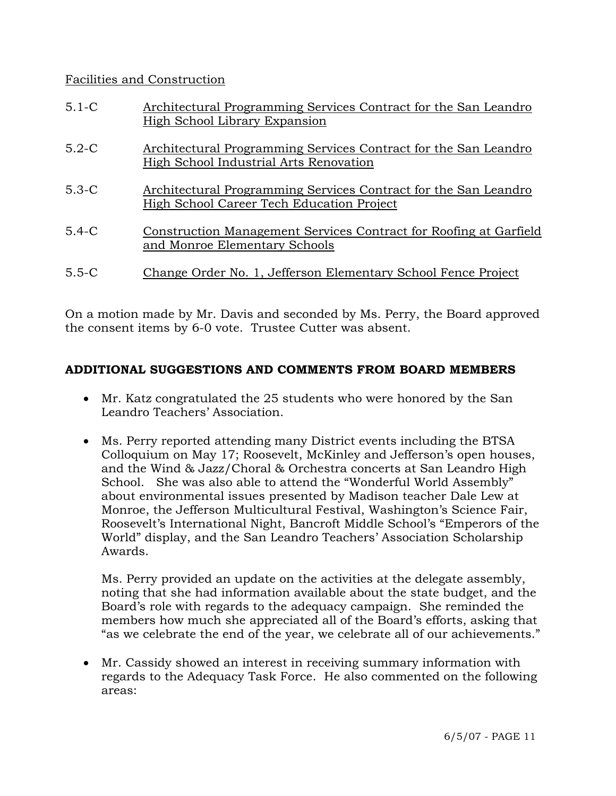## Facilities and Construction

| $5.1-C$ | Architectural Programming Services Contract for the San Leandro<br>High School Library Expansion             |
|---------|--------------------------------------------------------------------------------------------------------------|
| $5.2-C$ | Architectural Programming Services Contract for the San Leandro<br>High School Industrial Arts Renovation    |
| $5.3-C$ | Architectural Programming Services Contract for the San Leandro<br>High School Career Tech Education Project |
| $5.4-C$ | Construction Management Services Contract for Roofing at Garfield<br>and Monroe Elementary Schools           |
| $5.5-C$ | Change Order No. 1, Jefferson Elementary School Fence Project                                                |

On a motion made by Mr. Davis and seconded by Ms. Perry, the Board approved the consent items by 6-0 vote. Trustee Cutter was absent.

## **ADDITIONAL SUGGESTIONS AND COMMENTS FROM BOARD MEMBERS**

- Mr. Katz congratulated the 25 students who were honored by the San Leandro Teachers' Association.
- Ms. Perry reported attending many District events including the BTSA Colloquium on May 17; Roosevelt, McKinley and Jefferson's open houses, and the Wind & Jazz/Choral & Orchestra concerts at San Leandro High School. She was also able to attend the "Wonderful World Assembly" about environmental issues presented by Madison teacher Dale Lew at Monroe, the Jefferson Multicultural Festival, Washington's Science Fair, Roosevelt's International Night, Bancroft Middle School's "Emperors of the World" display, and the San Leandro Teachers' Association Scholarship Awards.

 Ms. Perry provided an update on the activities at the delegate assembly, noting that she had information available about the state budget, and the Board's role with regards to the adequacy campaign. She reminded the members how much she appreciated all of the Board's efforts, asking that "as we celebrate the end of the year, we celebrate all of our achievements."

• Mr. Cassidy showed an interest in receiving summary information with regards to the Adequacy Task Force. He also commented on the following areas: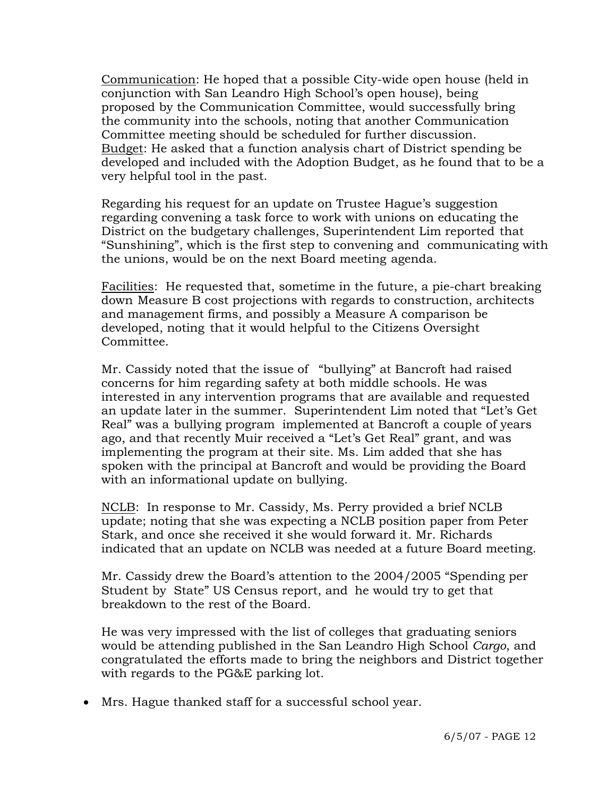Communication: He hoped that a possible City-wide open house (held in conjunction with San Leandro High School's open house), being proposed by the Communication Committee, would successfully bring the community into the schools, noting that another Communication Committee meeting should be scheduled for further discussion. Budget: He asked that a function analysis chart of District spending be developed and included with the Adoption Budget, as he found that to be a very helpful tool in the past.

 Regarding his request for an update on Trustee Hague's suggestion regarding convening a task force to work with unions on educating the District on the budgetary challenges, Superintendent Lim reported that "Sunshining", which is the first step to convening and communicating with the unions, would be on the next Board meeting agenda.

 Facilities: He requested that, sometime in the future, a pie-chart breaking down Measure B cost projections with regards to construction, architects and management firms, and possibly a Measure A comparison be developed, noting that it would helpful to the Citizens Oversight Committee.

 Mr. Cassidy noted that the issue of "bullying" at Bancroft had raised concerns for him regarding safety at both middle schools. He was interested in any intervention programs that are available and requested an update later in the summer. Superintendent Lim noted that "Let's Get Real" was a bullying program implemented at Bancroft a couple of years ago, and that recently Muir received a "Let's Get Real" grant, and was implementing the program at their site. Ms. Lim added that she has spoken with the principal at Bancroft and would be providing the Board with an informational update on bullying.

 NCLB: In response to Mr. Cassidy, Ms. Perry provided a brief NCLB update; noting that she was expecting a NCLB position paper from Peter Stark, and once she received it she would forward it. Mr. Richards indicated that an update on NCLB was needed at a future Board meeting.

 Mr. Cassidy drew the Board's attention to the 2004/2005 "Spending per Student by State" US Census report, and he would try to get that breakdown to the rest of the Board.

 He was very impressed with the list of colleges that graduating seniors would be attending published in the San Leandro High School *Cargo*, and congratulated the efforts made to bring the neighbors and District together with regards to the PG&E parking lot.

• Mrs. Hague thanked staff for a successful school year.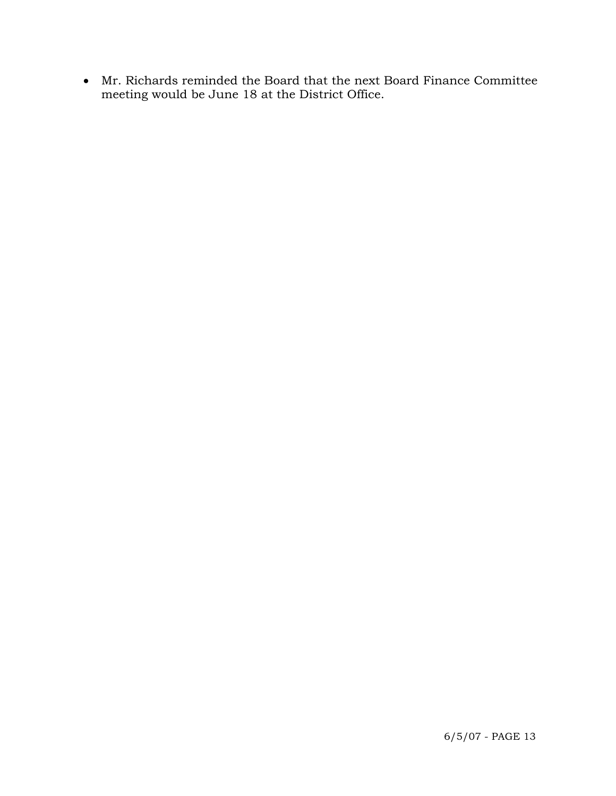• Mr. Richards reminded the Board that the next Board Finance Committee meeting would be June 18 at the District Office.